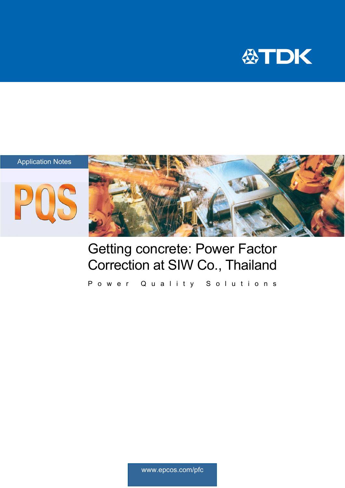







## Getting concrete: Power Factor Correction at SIW Co., Thailand

Power Quality Solutions

www.epcos.com/pfc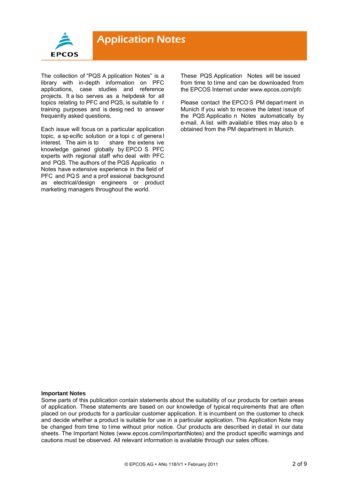

The collection of "PQS A pplication Notes" is a library with in-depth information on PFC applications, case studies and reference projects. It a lso serves as a helpdesk for all topics relating to PFC and PQS, is suitable fo r training purposes and is desig ned to answer frequently asked questions.

Each issue will focus on a particular application topic, a sp ecific solution or a topi c of genera l interest. The aim is to share the extens ive knowledge gained globally by EPCO S PFC experts with regional staff who deal with PFC and PQS. The authors of the PQS Applicatio n Notes have extensive experience in the field of PFC and PQS and a prof essional background as electrical/design engineers or product marketing managers throughout the world.

These PQS Application Notes will be issued from time to time and can be downloaded from the EPCOS Internet under www.epcos.com/pfc

Please contact the EPCO S PM depart ment in Munich if you wish to receive the latest issue of the PQS Applicatio n Notes automatically by e-mail. A list with availabl e titles may also b e obtained from the PM department in Munich.

#### **Important Notes**

Some parts of this publication contain statements about the suitability of our products for certain areas of application. These statements are based on our knowledge of typical requirements that are often placed on our products for a particular customer application. It is incumbent on the customer to check and decide whether a product is suitable for use in a particular application. This Application Note may be changed from time to time without prior notice. Our products are described in detail in our data sheets. The Important Notes (www.epcos.com/ImportantNotes) and the product specific warnings and cautions must be observed. All relevant information is available through our sales offices.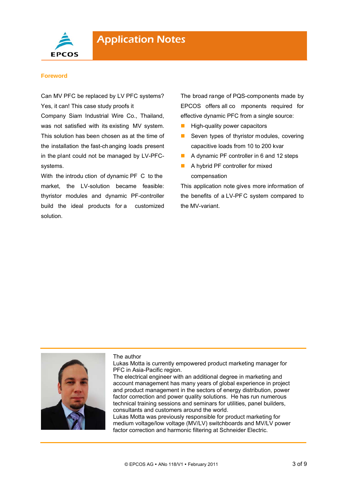

#### **Foreword**

Can MV PFC be replaced by LV PFC systems? Yes, it can! This case study proofs it

Company Siam Industrial Wire Co., Thailand, was not satisfied with its existing MV system. This solution has been chosen as at the time of the installation the fast-changing loads present in the plant could not be managed by LV-PFCsystems.

With the introdu ction of dynamic PF C to the market, the LV-solution became feasible: thyristor modules and dynamic PF-controller build the ideal products for a customized solution.

The broad range of PQS-components made by EPCOS offers all co mponents required for effective dynamic PFC from a single source:

- $\blacksquare$  High-quality power capacitors
- Seven types of thyristor modules, covering capacitive loads from 10 to 200 kvar
- A dynamic PF controller in 6 and 12 steps
- A hybrid PF controller for mixed compensation

This application note gives more information of the benefits of a LV-PF C system compared to the MV-variant.



#### The author

Lukas Motta is currently empowered product marketing manager for PFC in Asia-Pacific region.

The electrical engineer with an additional degree in marketing and account management has many years of global experience in project and product management in the sectors of energy distribution, power factor correction and power quality solutions. He has run numerous technical training sessions and seminars for utilities, panel builders, consultants and customers around the world.

Lukas Motta was previously responsible for product marketing for medium voltage/low voltage (MV/LV) switchboards and MV/LV power factor correction and harmonic filtering at Schneider Electric.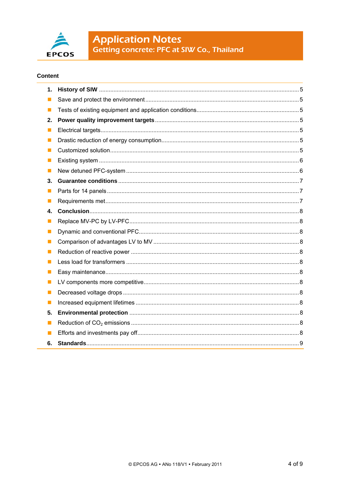

# **Application Notes**<br>Getting concrete: PFC at SIW Co., Thailand

#### **Content**

| 1.             |  |
|----------------|--|
| $\mathcal{L}$  |  |
| $\blacksquare$ |  |
| 2.             |  |
| $\blacksquare$ |  |
| ш              |  |
| <b>I</b>       |  |
| ш              |  |
| $\blacksquare$ |  |
| 3.             |  |
| ш              |  |
| ш              |  |
| 4.             |  |
| ш              |  |
| $\mathbb{R}^n$ |  |
| $\blacksquare$ |  |
| ш              |  |
| $\blacksquare$ |  |
| п              |  |
| $\blacksquare$ |  |
| ш              |  |
| ш              |  |
| 5.             |  |
| ш              |  |
| ш              |  |
| 6.             |  |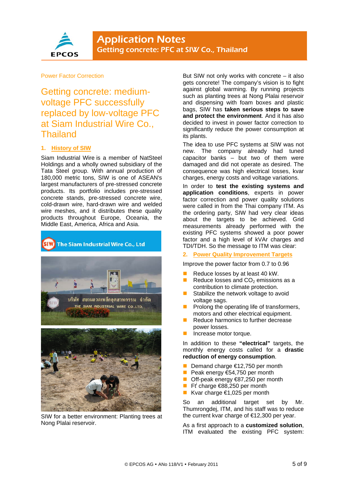

#### Power Factor Correction

Getting concrete: mediumvoltage PFC successfully replaced by low-voltage PFC at Siam Industrial Wire Co., **Thailand** 

#### **1. History of SIW**

Siam Industrial Wire is a member of NatSteel Holdings and a wholly owned subsidiary of the Tata Steel group. With annual production of 180,000 metric tons, SIW is one of ASEAN's largest manufacturers of pre-stressed concrete products. Its portfolio includes pre-stressed concrete stands, pre-stressed concrete wire, cold-drawn wire, hard-drawn wire and welded wire meshes, and it distributes these quality products throughout Europe, Oceania, the Middle East, America, Africa and Asia.



SIW for a better environment: Planting trees at Nong Plalai reservoir.

But SIW not only works with concrete – it also gets concrete! The company's vision is to fight against global warming. By running projects such as planting trees at Nong Plalai reservoir and dispensing with foam boxes and plastic bags, SIW has **taken serious steps to save and protect the environment**. And it has also decided to invest in power factor correction to significantly reduce the power consumption at its plants.

The idea to use PFC systems at SIW was not new. The company already had tuned capacitor banks – but two of them were damaged and did not operate as desired. The consequence was high electrical losses, kvar charges, energy costs and voltage variations.

In order to **test the existing systems and application conditions**, experts in power factor correction and power quality solutions were called in from the Thai company ITM. As the ordering party, SIW had very clear ideas about the targets to be achieved. Grid measurements already performed with the existing PFC systems showed a poor power factor and a high level of kVAr charges and TDI/TDH. So the message to ITM was clear:

**2. Power Quality Improvement Targets** 

Improve the power factor from 0.7 to 0.96

- Reduce losses by at least 40 kW.
- Reduce losses and  $CO<sub>2</sub>$  emissions as a contribution to climate protection.
- Stabilize the network voltage to avoid voltage sags.
- Prolong the operating life of transformers, motors and other electrical equipment.
- Reduce harmonics to further decrease power losses.
- Increase motor torque.

In addition to these **"electrical"** targets, the monthly energy costs called for a **drastic reduction of energy consumption**.

- Demand charge €12,750 per month
- Peak energy  $654,750$  per month
- Off-peak energy €87,250 per month
- Ft charge  $\epsilon$ 88,250 per month
- **■** Kvar charge  $€1,025$  per month

So an additional target set by Mr. Thumrongdej, ITM, and his staff was to reduce the current kvar charge of €12,300 per year.

As a first approach to a **customized solution**, ITM evaluated the existing PFC system: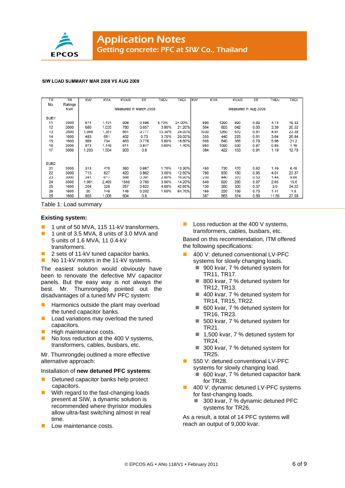

#### SIW LOAD SUMMARY MAR 2008 VS AUG 2009

| <b>TR</b>        | <b>TR</b>  | <b>KW</b>              | <b>KVA</b> | <b>KVAR</b> | PF    | THD <sub>v</sub> | THDi   | KW | <b>KVA</b>           |      | <b>KVAR</b> | PF   | THD <sub>v</sub> | THDi  |  |
|------------------|------------|------------------------|------------|-------------|-------|------------------|--------|----|----------------------|------|-------------|------|------------------|-------|--|
| No.              | Ratings    |                        |            |             |       |                  |        |    |                      |      |             |      |                  |       |  |
|                  | <b>KVA</b> | Measured in March 2008 |            |             |       |                  |        |    | Measured in Aug 2009 |      |             |      |                  |       |  |
|                  |            |                        |            |             |       |                  |        |    |                      |      |             |      |                  |       |  |
| SUB <sub>1</sub> |            |                        |            |             |       |                  |        |    |                      |      |             |      |                  |       |  |
| 11               | 3000       | 674                    | 1.131      | 908         | 0.596 | 5.70%            | 24.00% |    | 890                  | 1290 | 890         | 0.69 | 4.13             | 19.32 |  |
| 12               | 3000       | 680                    | 1,035      | 780         | 0.657 | 3.90%            | 21.20% |    | 564                  | 855  | 642         | 0.66 | 3.39             | 20.52 |  |
| 13               | 3500       | 1,049                  | 1,351      | 851         | 0.777 | 10.30%           | 24.00% |    | 1030                 | 1260 | 670         | 0.81 | 4.91             | 23.38 |  |
| 14               | 1600       | 483                    | 661        | 452         | 0.73  | 3.70%            | 20.00% |    | 355                  | 440  | 225         | 0.81 | 3.64             | 26.84 |  |
| 15               | 1600       | 569                    | 734        | 463         | 0.776 | 5.80%            | 18.60% |    | 505                  | 640  | 365         | 0.79 | 5.96             | 21.2  |  |
| 16               | 3000       | 973                    | 1,149      | 611         | 0.847 | 0.60%            | 1.40%  |    | 950                  | 1090 | 530         | 0.87 | 0.85             | 1.16  |  |
| 17               | 3000       | 1,203                  | 1,504      | 903         | 0.8   |                  |        |    | 384                  | 422  | 163         | 0.91 | 1.19             | 12.78 |  |
|                  |            |                        |            |             |       |                  |        |    |                      |      |             |      |                  |       |  |
|                  |            |                        |            |             |       |                  |        |    |                      |      |             |      |                  |       |  |
| SUB <sub>2</sub> |            |                        |            |             |       |                  |        |    |                      |      |             |      |                  |       |  |
| 21               | 3000       | 313                    | 470        | 350         | 0.667 | 1.70%            | 13.30% |    | 450                  | 730  | 470         | 0.62 | 1.49             | 6.45  |  |
| 22               | 3000       | 713                    | 827        | 420         | 0.862 | 3.00%            | 12.60% |    | 790                  | 830  | 180         | 0.95 | 4.01             | 23.37 |  |
| 23               | 3000       | 241                    | 617        | 568         | 0.391 | 2.80%            | 16.90% |    | 230                  | 440  | 370         | 0.53 | 1.44             | 9.88  |  |
| 24               | 3000       | 1,961                  | 2.499      | 1550        | 0.785 | 3.90%            | 14.20% |    | 540                  | 620  | 280         | 0.87 | 2.65             | 15.6  |  |
| 25               | 1600       | 204                    | 328        | 257         | 0.622 | 4.80%            | 42.60% |    | 130                  | 350  | 300         | 0.37 | 3.9              | 34.22 |  |
| 26               | 1600       | 30                     | 149        | 146         | 0.202 | 1.50%            | 64.70% |    | 159                  | 220  | 139         | 0.73 | 1.41             | 1.5   |  |
| 28               | 1600       | 805                    | 1,006      | 604         | 0.8   |                  |        |    | 387                  | 563  | 374         | 0.69 | 11.59            | 27.59 |  |
|                  |            |                        |            |             |       |                  |        |    |                      |      |             |      |                  |       |  |

Table 1: Load summary

#### **Existing system:**

- 1 1 unit of 50 MVA, 115 11-kV transformers.
- 1 unit of 3.5 MVA, 8 units of 3.0 MVA and 5 units of 1.6 MVA, 11 0.4-kV transformers.
- 2 sets of 11-kV tuned capacitor banks.
- No 11-kV motors in the 11-kV systems.

The easiest solution would obviously have been to renovate the defective MV capacitor panels. But the easy way is not always the best. Mr. Thumrongdej pointed out the disadvantages of a tuned MV PFC system:

- Harmonics outside the plant may overload the tuned capacitor banks.
- Load variations may overload the tuned capacitors.
- High maintenance costs.
- No loss reduction at the 400 V systems, transformers, cables, busbars, etc.

Mr. Thumrongdej outlined a more effective alternative approach:

#### Installation of **new detuned PFC systems**:

- Detuned capacitor banks help protect capacitors.
- With regard to the fast-changing loads present at SIW, a dynamic solution is recommended where thyristor modules allow ultra-fast switching almost in real time.
- Low maintenance costs.

**Loss reduction at the 400 V systems,** transformers, cables, busbars, etc.

Based on this recommendation, ITM offered the following specifications:

- 400 V: detuned conventional LV-PFC systems for slowly changing loads.
	- 900 kvar, 7 % detuned system for TR11, TR17.
	- 800 kvar, 7 % detuned system for TR12, TR13.
	- 400 kvar, 7 % detuned system for TR14, TR15, TR22.
	- 600 kvar, 7 % detuned system for TR16, TR23.
	- 500 kvar, 7 % detuned system for TR21.
	- 1,500 kvar, 7 % detuned system for TR24.
	- 300 kvar, 7 % detuned system for TR25.
- 550 V: detuned conventional LV-PFC systems for slowly changing load.
	- 600 kvar, 7 % detuned capacitor bank for TR28.
	- 400 V: dynamic detuned LV-PFC systems for fast-changing loads.
		- 300 kvar, 7 % dynamic detuned PFC systems for TR26.

As a result, a total of 14 PFC systems will reach an output of 9,000 kvar.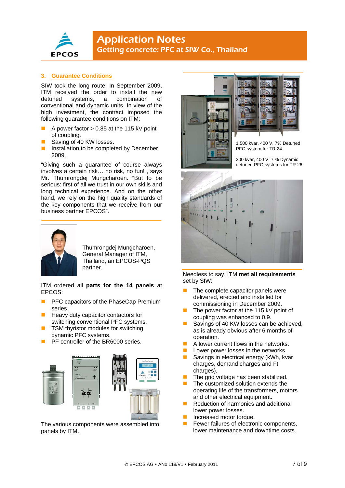

#### **3. Guarantee Conditions**

SIW took the long route. In September 2009, ITM received the order to install the new detuned systems, a combination of conventional and dynamic units. In view of the high investment, the contract imposed the following guarantee conditions on ITM:

- A power factor > 0.85 at the 115 kV point of coupling.
- Saving of 40 KW losses.
- Installation to be completed by December 2009.

"Giving such a guarantee of course always involves a certain risk… no risk, no fun!", says Mr. Thumrongdej Mungcharoen. "But to be serious: first of all we trust in our own skills and long technical experience. And on the other hand, we rely on the high quality standards of the key components that we receive from our business partner EPCOS".



Thumrongdej Mungcharoen, General Manager of ITM, Thailand, an EPCOS-PQS partner.

ITM ordered all **parts for the 14 panels** at EPCOS:

- PFC capacitors of the PhaseCap Premium series.
- Heavy duty capacitor contactors for switching conventional PFC systems.
- TSM thyristor modules for switching dynamic PFC systems.
- PF controller of the BR6000 series.



The various components were assembled into panels by ITM.





1,500 kvar, 400 V, 7% Detuned PFC-system for TR 24

300 kvar, 400 V, 7 % Dynamic detuned PFC-systems for TR 26



Needless to say, ITM **met all requirements** set by SIW:

- $\blacksquare$  The complete capacitor panels were delivered, erected and installed for commissioning in December 2009.
- The power factor at the 115 kV point of coupling was enhanced to 0.9.
- Savings of 40 KW losses can be achieved, as is already obvious after 6 months of operation.
- A lower current flows in the networks.
- Lower power losses in the networks.
- Savings in electrical energy (kWh, kvar charges, demand charges and Ft charges).
- The grid voltage has been stabilized.
- The customized solution extends the operating life of the transformers, motors and other electrical equipment.
- Reduction of harmonics and additional lower power losses.
- Increased motor torque.
- Fewer failures of electronic components, lower maintenance and downtime costs.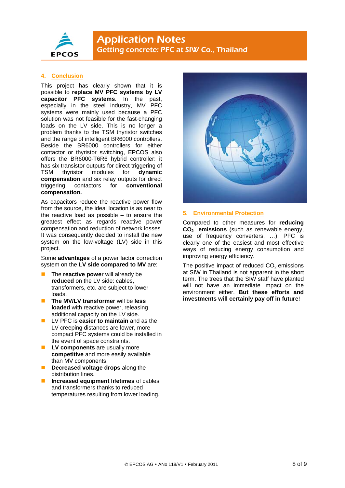

### **Application Notes** Getting concrete: PFC at SIW Co., Thailand

#### **4. Conclusion**

This project has clearly shown that it is possible to **replace MV PFC systems by LV capacitor PFC systems**. In the past, especially in the steel industry, MV PFC systems were mainly used because a PFC solution was not feasible for the fast-changing loads on the LV side. This is no longer a problem thanks to the TSM thyristor switches and the range of intelligent BR6000 controllers. Beside the BR6000 controllers for either contactor or thyristor switching, EPCOS also offers the BR6000-T6R6 hybrid controller: it has six transistor outputs for direct triggering of TSM thyristor modules for **dynamic compensation** and six relay outputs for direct triggering contactors for **conventional compensation.** 

As capacitors reduce the reactive power flow from the source, the ideal location is as near to the reactive load as possible  $-$  to ensure the greatest effect as regards reactive power compensation and reduction of network losses. It was consequently decided to install the new system on the low-voltage (LV) side in this project.

Some **advantages** of a power factor correction system on the **LV side compared to MV** are:

- The **reactive power** will already be **reduced** on the LV side: cables, transformers, etc. are subject to lower loads.
- **The MV/LV transformer** will be **less loaded** with reactive power, releasing additional capacity on the LV side.
- **LV PFC is easier to maintain** and as the LV creeping distances are lower, more compact PFC systems could be installed in the event of space constraints.
- **LV components** are usually more **competitive** and more easily available than MV components.
- **Decreased voltage drops** along the distribution lines.
- **Increased equipment lifetimes** of cables and transformers thanks to reduced temperatures resulting from lower loading.



#### **5. Environmental Protection**

Compared to other measures for **reducing CO2 emissions** (such as renewable energy, use of frequency converters, …), PFC is clearly one of the easiest and most effective ways of reducing energy consumption and improving energy efficiency.

The positive impact of reduced  $CO<sub>2</sub>$  emissions at SIW in Thailand is not apparent in the short term. The trees that the SIW staff have planted will not have an immediate impact on the environment either. **But these efforts and investments will certainly pay off in future**!